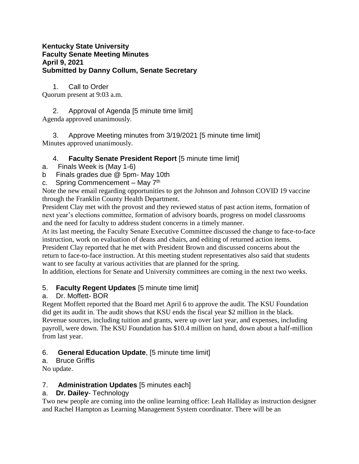#### **Kentucky State University Faculty Senate Meeting Minutes April 9, 2021 Submitted by Danny Collum, Senate Secretary**

1. Call to Order Quorum present at 9:03 a.m.

2. Approval of Agenda [5 minute time limit] Agenda approved unanimously.

3. Approve Meeting minutes from 3/19/2021 [5 minute time limit] Minutes approved unanimously.

## 4. **Faculty Senate President Report** [5 minute time limit]

- a. Finals Week is (May 1-6)
- b Finals grades due @ 5pm- May 10th
- c. Spring Commencement May  $7<sup>th</sup>$

Note the new email regarding opportunities to get the Johnson and Johnson COVID 19 vaccine through the Franklin County Health Department.

President Clay met with the provost and they reviewed status of past action items, formation of next year's elections committee, formation of advisory boards, progress on model classrooms and the need for faculty to address student concerns in a timely manner.

At its last meeting, the Faculty Senate Executive Committee discussed the change to face-to-face instruction, work on evaluation of deans and chairs, and editing of returned action items. President Clay reported that he met with President Brown and discussed concerns about the

return to face-to-face instruction. At this meeting student representatives also said that students want to see faculty at various activities that are planned for the spring.

In addition, elections for Senate and University committees are coming in the next two weeks.

## 5. **Faculty Regent Updates** [5 minute time limit]

## a. Dr. Moffett- BOR

Regent Moffett reported that the Board met April 6 to approve the audit. The KSU Foundation did get its audit in. The audit shows that KSU ends the fiscal year \$2 million in the black. Revenue sources, including tuition and grants, were up over last year, and expenses, including payroll, were down. The KSU Foundation has \$10.4 million on hand, down about a half-million from last year.

# 6. **General Education Update**, [5 minute time limit]

## a. Bruce Griffis

No update.

## 7. **Administration Updates** [5 minutes each]

## a. **Dr. Dailey**- Technology

Two new people are coming into the online learning office: Leah Halliday as instruction designer and Rachel Hampton as Learning Management System coordinator. There will be an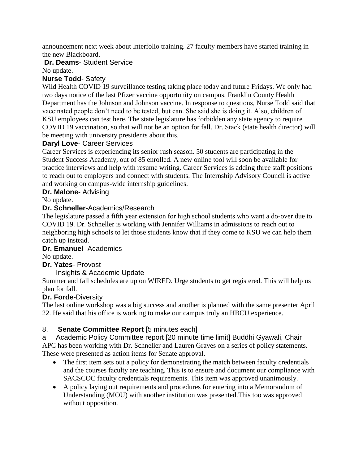announcement next week about Interfolio training. 27 faculty members have started training in the new Blackboard.

#### **Dr. Deams**- Student Service

No update.

#### **Nurse Todd**- Safety

Wild Health COVID 19 surveillance testing taking place today and future Fridays. We only had two days notice of the last Pfizer vaccine opportunity on campus. Franklin County Health Department has the Johnson and Johnson vaccine. In response to questions, Nurse Todd said that vaccinated people don't need to be tested, but can. She said she is doing it. Also, children of KSU employees can test here. The state legislature has forbidden any state agency to require COVID 19 vaccination, so that will not be an option for fall. Dr. Stack (state health director) will be meeting with university presidents about this.

#### **Daryl Love**- Career Services

Career Services is experiencing its senior rush season. 50 students are participating in the Student Success Academy, out of 85 enrolled. A new online tool will soon be available for practice interviews and help with resume writing. Career Services is adding three staff positions to reach out to employers and connect with students. The Internship Advisory Council is active and working on campus-wide internship guidelines.

#### **Dr. Malone**- Advising

No update.

#### **Dr. Schneller**-Academics/Research

The legislature passed a fifth year extension for high school students who want a do-over due to COVID 19. Dr. Schneller is working with Jennifer Williams in admissions to reach out to neighboring high schools to let those students know that if they come to KSU we can help them catch up instead.

#### **Dr. Emanuel**- Academics

No update.

#### **Dr. Yates**- Provost

#### Insights & Academic Update

Summer and fall schedules are up on WIRED. Urge students to get registered. This will help us plan for fall.

#### **Dr. Forde**-Diversity

The last online workshop was a big success and another is planned with the same presenter April 22. He said that his office is working to make our campus truly an HBCU experience.

## 8. **Senate Committee Report** [5 minutes each]

a Academic Policy Committee report [20 minute time limit] Buddhi Gyawali, Chair APC has been working with Dr. Schneller and Lauren Graves on a series of policy statements. These were presented as action items for Senate approval.

- The first item sets out a policy for demonstrating the match between faculty credentials and the courses faculty are teaching. This is to ensure and document our compliance with SACSCOC faculty credentials requirements. This item was approved unanimously.
- A policy laying out requirements and procedures for entering into a Memorandum of Understanding (MOU) with another institution was presented.This too was approved without opposition.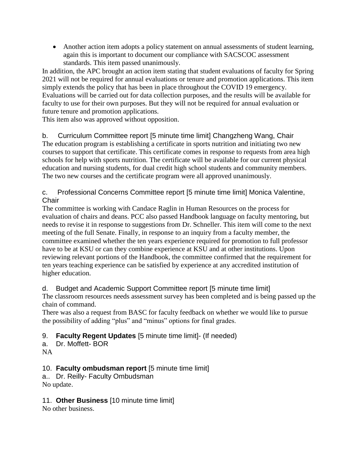Another action item adopts a policy statement on annual assessments of student learning, again this is important to document our compliance with SACSCOC assessment standards. This item passed unanimously.

In addition, the APC brought an action item stating that student evaluations of faculty for Spring 2021 will not be required for annual evaluations or tenure and promotion applications. This item simply extends the policy that has been in place throughout the COVID 19 emergency. Evaluations will be carried out for data collection purposes, and the results will be available for faculty to use for their own purposes. But they will not be required for annual evaluation or future tenure and promotion applications.

This item also was approved without opposition.

b. Curriculum Committee report [5 minute time limit] Changzheng Wang, Chair The education program is establishing a certificate in sports nutrition and initiating two new courses to support that certificate. This certificate comes in response to requests from area high schools for help with sports nutrition. The certificate will be available for our current physical education and nursing students, for dual credit high school students and community members. The two new courses and the certificate program were all approved unanimously.

## c. Professional Concerns Committee report [5 minute time limit] Monica Valentine, **Chair**

The committee is working with Candace Raglin in Human Resources on the process for evaluation of chairs and deans. PCC also passed Handbook language on faculty mentoring, but needs to revise it in response to suggestions from Dr. Schneller. This item will come to the next meeting of the full Senate. Finally, in response to an inquiry from a faculty member, the committee examined whether the ten years experience required for promotion to full professor have to be at KSU or can they combine experience at KSU and at other institutions. Upon reviewing relevant portions of the Handbook, the committee confirmed that the requirement for ten years teaching experience can be satisfied by experience at any accredited institution of higher education.

d. Budget and Academic Support Committee report [5 minute time limit] The classroom resources needs assessment survey has been completed and is being passed up the chain of command.

There was also a request from BASC for faculty feedback on whether we would like to pursue the possibility of adding "plus" and "minus" options for final grades.

# 9. **Faculty Regent Updates** [5 minute time limit]- (If needed)

- a. Dr. Moffett- BOR
- NA

## 10. **Faculty ombudsman report** [5 minute time limit]

a.. Dr. Reilly- Faculty Ombudsman No update.

## 11. **Other Business** [10 minute time limit]

No other business.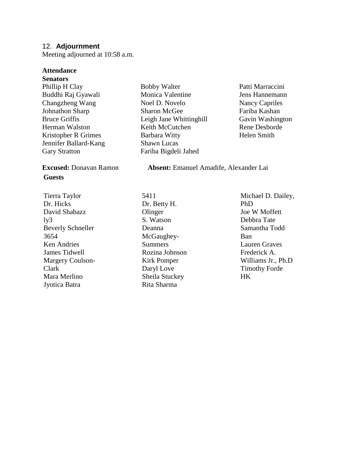#### 12. **Adjournment**

Meeting adjourned at 10:58 a.m.

#### **Attendance**

**Senators** Phillip H Clay Buddhi Raj Gyawali Changzheng Wang Johnathon Sharp Bruce Griffis Herman Walston Kristopher R Grimes Jennifer Ballard-Kang Gary Stratton

# **Guests**

Tierra Taylor Dr. Hicks David Shabazz  $1<sub>v</sub>3$ Beverly Schneller 3654 Ken Andries James Tidwell Margery Coulson-Clark Mara Merlino Jyotica Batra

- Bobby Walter Monica Valentine Noel D. Novelo Sharon McGee Leigh Jane Whittinghill Keith McCutchen Barbara Witty Shawn Lucas Fariba Bigdeli Jahed
- Patti Marraccini Jens Hannemann Nancy Capriles Fariba Kashan Gavin Washington Rene Desborde Helen Smith

**Excused:** Donavan Ramon **Absent:** Emanuel Amadife, Alexander Lai

5411 Dr. Betty H. **Olinger** S. Watson Deanna McGaughey-Summers Rozina Johnson Kirk Pomper Daryl Love Sheila Stuckey Rita Sharma

Michael D. Dailey, PhD Joe W Moffett Debbra Tate Samantha Todd Ban Lauren Graves Frederick A. Williams Jr., Ph.D Timothy Forde HK